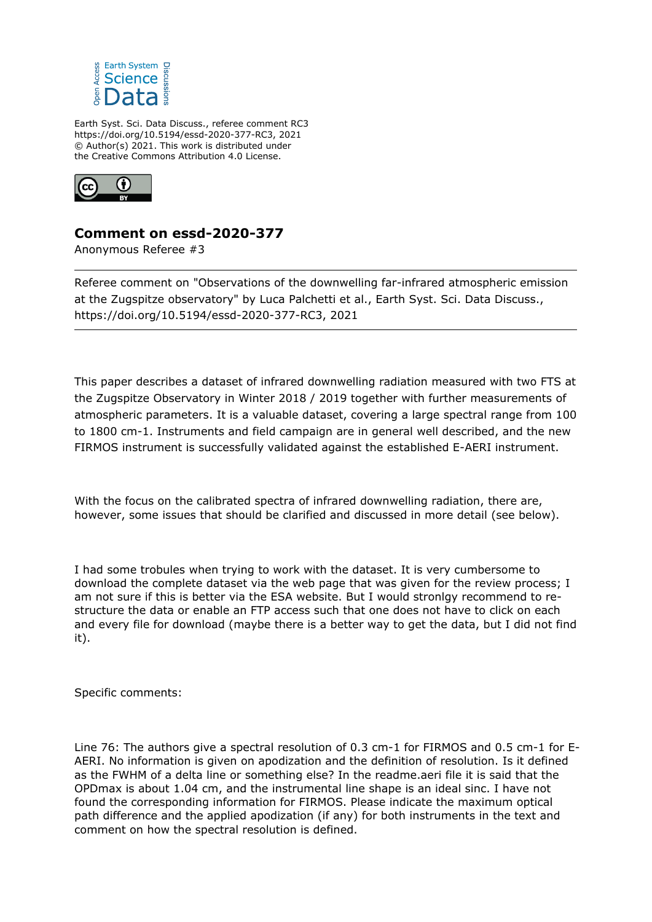

Earth Syst. Sci. Data Discuss., referee comment RC3 https://doi.org/10.5194/essd-2020-377-RC3, 2021 © Author(s) 2021. This work is distributed under the Creative Commons Attribution 4.0 License.



## **Comment on essd-2020-377**

Anonymous Referee #3

Referee comment on "Observations of the downwelling far-infrared atmospheric emission at the Zugspitze observatory" by Luca Palchetti et al., Earth Syst. Sci. Data Discuss., https://doi.org/10.5194/essd-2020-377-RC3, 2021

This paper describes a dataset of infrared downwelling radiation measured with two FTS at the Zugspitze Observatory in Winter 2018 / 2019 together with further measurements of atmospheric parameters. It is a valuable dataset, covering a large spectral range from 100 to 1800 cm-1. Instruments and field campaign are in general well described, and the new FIRMOS instrument is successfully validated against the established E-AERI instrument.

With the focus on the calibrated spectra of infrared downwelling radiation, there are, however, some issues that should be clarified and discussed in more detail (see below).

I had some trobules when trying to work with the dataset. It is very cumbersome to download the complete dataset via the web page that was given for the review process; I am not sure if this is better via the ESA website. But I would stronlgy recommend to restructure the data or enable an FTP access such that one does not have to click on each and every file for download (maybe there is a better way to get the data, but I did not find it).

Specific comments:

Line 76: The authors give a spectral resolution of 0.3 cm-1 for FIRMOS and 0.5 cm-1 for E-AERI. No information is given on apodization and the definition of resolution. Is it defined as the FWHM of a delta line or something else? In the readme.aeri file it is said that the OPDmax is about 1.04 cm, and the instrumental line shape is an ideal sinc. I have not found the corresponding information for FIRMOS. Please indicate the maximum optical path difference and the applied apodization (if any) for both instruments in the text and comment on how the spectral resolution is defined.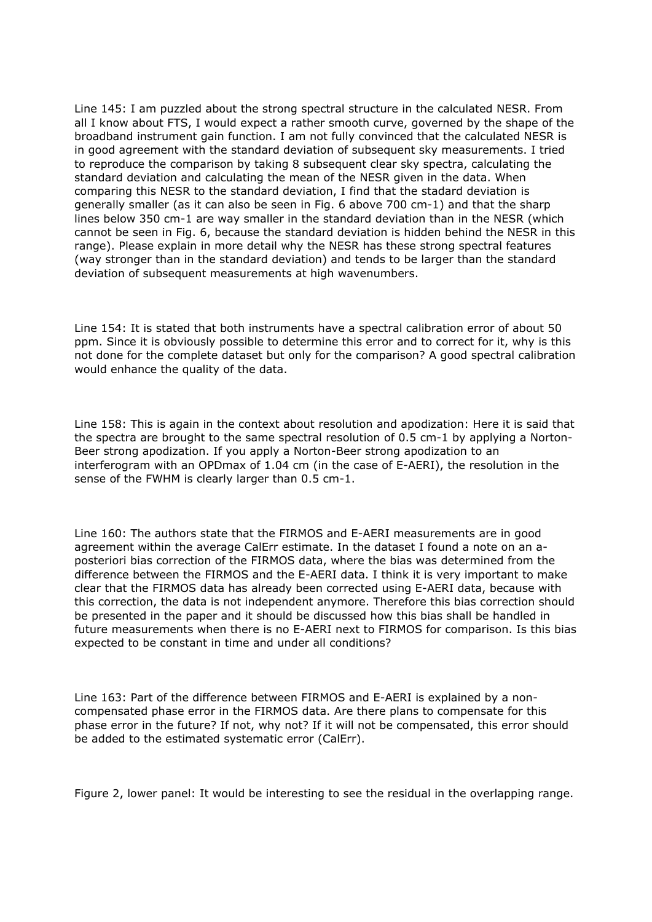Line 145: I am puzzled about the strong spectral structure in the calculated NESR. From all I know about FTS, I would expect a rather smooth curve, governed by the shape of the broadband instrument gain function. I am not fully convinced that the calculated NESR is in good agreement with the standard deviation of subsequent sky measurements. I tried to reproduce the comparison by taking 8 subsequent clear sky spectra, calculating the standard deviation and calculating the mean of the NESR given in the data. When comparing this NESR to the standard deviation, I find that the stadard deviation is generally smaller (as it can also be seen in Fig. 6 above 700 cm-1) and that the sharp lines below 350 cm-1 are way smaller in the standard deviation than in the NESR (which cannot be seen in Fig. 6, because the standard deviation is hidden behind the NESR in this range). Please explain in more detail why the NESR has these strong spectral features (way stronger than in the standard deviation) and tends to be larger than the standard deviation of subsequent measurements at high wavenumbers.

Line 154: It is stated that both instruments have a spectral calibration error of about 50 ppm. Since it is obviously possible to determine this error and to correct for it, why is this not done for the complete dataset but only for the comparison? A good spectral calibration would enhance the quality of the data.

Line 158: This is again in the context about resolution and apodization: Here it is said that the spectra are brought to the same spectral resolution of 0.5 cm-1 by applying a Norton-Beer strong apodization. If you apply a Norton-Beer strong apodization to an interferogram with an OPDmax of 1.04 cm (in the case of E-AERI), the resolution in the sense of the FWHM is clearly larger than 0.5 cm-1.

Line 160: The authors state that the FIRMOS and E-AERI measurements are in good agreement within the average CalErr estimate. In the dataset I found a note on an aposteriori bias correction of the FIRMOS data, where the bias was determined from the difference between the FIRMOS and the E-AERI data. I think it is very important to make clear that the FIRMOS data has already been corrected using E-AERI data, because with this correction, the data is not independent anymore. Therefore this bias correction should be presented in the paper and it should be discussed how this bias shall be handled in future measurements when there is no E-AERI next to FIRMOS for comparison. Is this bias expected to be constant in time and under all conditions?

Line 163: Part of the difference between FIRMOS and E-AERI is explained by a noncompensated phase error in the FIRMOS data. Are there plans to compensate for this phase error in the future? If not, why not? If it will not be compensated, this error should be added to the estimated systematic error (CalErr).

Figure 2, lower panel: It would be interesting to see the residual in the overlapping range.